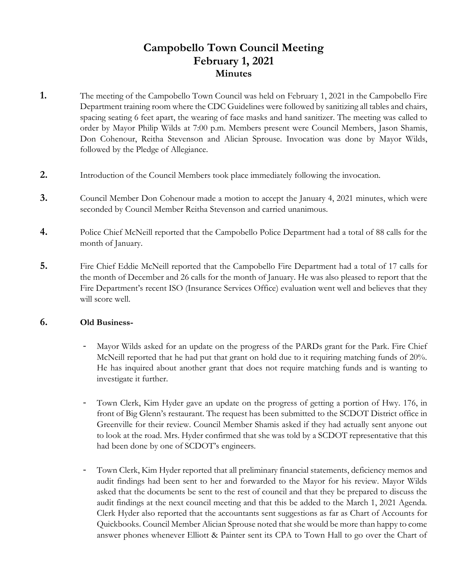# **Campobello Town Council Meeting February 1, 2021 Minutes**

- **1.** The meeting of the Campobello Town Council was held on February 1, 2021 in the Campobello Fire Department training room where the CDC Guidelines were followed by sanitizing all tables and chairs, spacing seating 6 feet apart, the wearing of face masks and hand sanitizer. The meeting was called to order by Mayor Philip Wilds at 7:00 p.m. Members present were Council Members, Jason Shamis, Don Cohenour, Reitha Stevenson and Alician Sprouse. Invocation was done by Mayor Wilds, followed by the Pledge of Allegiance.
- **2.** Introduction of the Council Members took place immediately following the invocation.
- **3.** Council Member Don Cohenour made a motion to accept the January 4, 2021 minutes, which were seconded by Council Member Reitha Stevenson and carried unanimous.
- **4.** Police Chief McNeill reported that the Campobello Police Department had a total of 88 calls for the month of January.
- **5.** Fire Chief Eddie McNeill reported that the Campobello Fire Department had a total of 17 calls for the month of December and 26 calls for the month of January. He was also pleased to report that the Fire Department's recent ISO (Insurance Services Office) evaluation went well and believes that they will score well.

### **6. Old Business-**

- Mayor Wilds asked for an update on the progress of the PARDs grant for the Park. Fire Chief McNeill reported that he had put that grant on hold due to it requiring matching funds of 20%. He has inquired about another grant that does not require matching funds and is wanting to investigate it further.
- Town Clerk, Kim Hyder gave an update on the progress of getting a portion of Hwy. 176, in front of Big Glenn's restaurant. The request has been submitted to the SCDOT District office in Greenville for their review. Council Member Shamis asked if they had actually sent anyone out to look at the road. Mrs. Hyder confirmed that she was told by a SCDOT representative that this had been done by one of SCDOT's engineers.
- Town Clerk, Kim Hyder reported that all preliminary financial statements, deficiency memos and audit findings had been sent to her and forwarded to the Mayor for his review. Mayor Wilds asked that the documents be sent to the rest of council and that they be prepared to discuss the audit findings at the next council meeting and that this be added to the March 1, 2021 Agenda. Clerk Hyder also reported that the accountants sent suggestions as far as Chart of Accounts for Quickbooks. Council Member Alician Sprouse noted that she would be more than happy to come answer phones whenever Elliott & Painter sent its CPA to Town Hall to go over the Chart of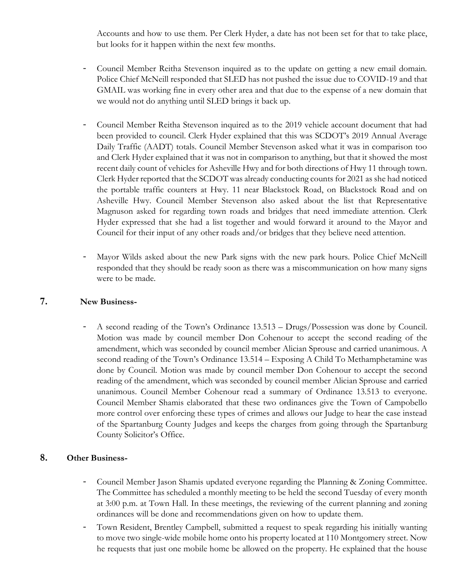Accounts and how to use them. Per Clerk Hyder, a date has not been set for that to take place, but looks for it happen within the next few months.

- Council Member Reitha Stevenson inquired as to the update on getting a new email domain. Police Chief McNeill responded that SLED has not pushed the issue due to COVID-19 and that GMAIL was working fine in every other area and that due to the expense of a new domain that we would not do anything until SLED brings it back up.
- Council Member Reitha Stevenson inquired as to the 2019 vehicle account document that had been provided to council. Clerk Hyder explained that this was SCDOT's 2019 Annual Average Daily Traffic (AADT) totals. Council Member Stevenson asked what it was in comparison too and Clerk Hyder explained that it was not in comparison to anything, but that it showed the most recent daily count of vehicles for Asheville Hwy and for both directions of Hwy 11 through town. Clerk Hyder reported that the SCDOT was already conducting counts for 2021 as she had noticed the portable traffic counters at Hwy. 11 near Blackstock Road, on Blackstock Road and on Asheville Hwy. Council Member Stevenson also asked about the list that Representative Magnuson asked for regarding town roads and bridges that need immediate attention. Clerk Hyder expressed that she had a list together and would forward it around to the Mayor and Council for their input of any other roads and/or bridges that they believe need attention.
- Mayor Wilds asked about the new Park signs with the new park hours. Police Chief McNeill responded that they should be ready soon as there was a miscommunication on how many signs were to be made.

#### **7. New Business-**

- A second reading of the Town's Ordinance 13.513 – Drugs/Possession was done by Council. Motion was made by council member Don Cohenour to accept the second reading of the amendment, which was seconded by council member Alician Sprouse and carried unanimous. A second reading of the Town's Ordinance 13.514 – Exposing A Child To Methamphetamine was done by Council. Motion was made by council member Don Cohenour to accept the second reading of the amendment, which was seconded by council member Alician Sprouse and carried unanimous. Council Member Cohenour read a summary of Ordinance 13.513 to everyone. Council Member Shamis elaborated that these two ordinances give the Town of Campobello more control over enforcing these types of crimes and allows our Judge to hear the case instead of the Spartanburg County Judges and keeps the charges from going through the Spartanburg County Solicitor's Office.

## **8. Other Business-**

- Council Member Jason Shamis updated everyone regarding the Planning & Zoning Committee. The Committee has scheduled a monthly meeting to be held the second Tuesday of every month at 3:00 p.m. at Town Hall. In these meetings, the reviewing of the current planning and zoning ordinances will be done and recommendations given on how to update them.
- Town Resident, Brentley Campbell, submitted a request to speak regarding his initially wanting to move two single-wide mobile home onto his property located at 110 Montgomery street. Now he requests that just one mobile home be allowed on the property. He explained that the house